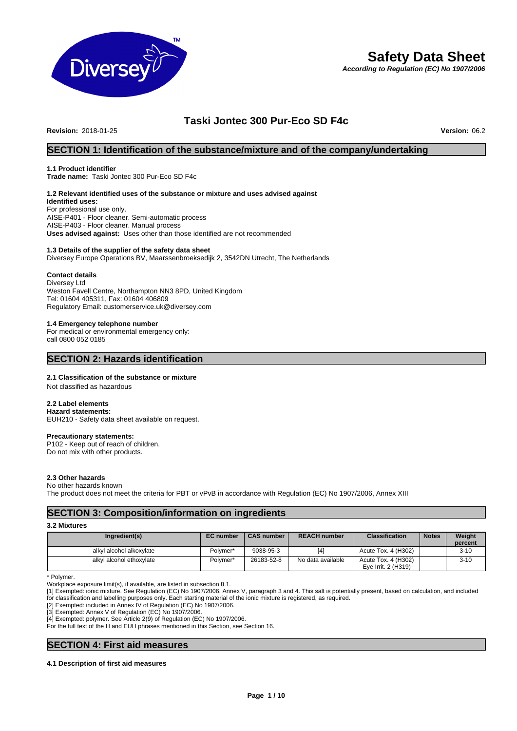

# **Safety Data Sheet**

*According to Regulation (EC) No 1907/2006*

# **Taski Jontec 300 Pur-Eco SD F4c**

**Revision: 2018-01-25** 

# **SECTION 1: Identification of the substance/mixture and of the company/undertaking**

#### **1.1 Product identifier**

**Trade name:** Taski Jontec 300 Pur-Eco SD F4c

# **1.2 Relevant identified uses of the substance or mixture and uses advised against**

**Identified uses:** For professional use only. AISE-P401 - Floor cleaner. Semi-automatic process AISE-P403 - Floor cleaner. Manual process **Uses advised against:** Uses other than those identified are not recommended

#### **1.3 Details of the supplier of the safety data sheet**

Diversey Europe Operations BV, Maarssenbroeksedijk 2, 3542DN Utrecht, The Netherlands

#### **Contact details**

Diversey Ltd Weston Favell Centre, Northampton NN3 8PD, United Kingdom Tel: 01604 405311, Fax: 01604 406809 Regulatory Email: customerservice.uk@diversey.com

#### **1.4 Emergency telephone number**

For medical or environmental emergency only: call 0800 052 0185

### **SECTION 2: Hazards identification**

#### **2.1 Classification of the substance or mixture**

Not classified as hazardous

#### **2.2 Label elements**

**Hazard statements:**  EUH210 - Safety data sheet available on request.

#### **Precautionary statements:**

P102 - Keep out of reach of children. Do not mix with other products.

#### **2.3 Other hazards**

No other hazards known The product does not meet the criteria for PBT or vPvB in accordance with Regulation (EC) No 1907/2006, Annex XIII

# **SECTION 3: Composition/information on ingredients**

#### **3.2 Mixtures**

| Ingredient(s)            | <b>EC</b> number | <b>CAS number</b> | <b>REACH number</b> | <b>Classification</b>                      | <b>Notes</b> | Weight<br>percent |
|--------------------------|------------------|-------------------|---------------------|--------------------------------------------|--------------|-------------------|
| alkyl alcohol alkoxylate | Polymer*         | 9038-95-3         | [4]                 | Acute Tox. 4 (H302)                        |              | $3 - 10$          |
| alkyl alcohol ethoxylate | Polymer*         | 26183-52-8        | No data available   | Acute Tox. 4 (H302)<br>Eve Irrit. 2 (H319) |              | $3 - 10$          |

\* Polymer.

Workplace exposure limit(s), if available, are listed in subsection 8.1.

[1] Exempted: ionic mixture. See Regulation (EC) No 1907/2006, Annex V, paragraph 3 and 4. This salt is potentially present, based on calculation, and included for classification and labelling purposes only. Each starting material of the ionic mixture is registered, as required.

[2] Exempted: included in Annex IV of Regulation (EC) No 1907/2006.

[3] Exempted: Annex V of Regulation (EC) No 1907/2006.

[4] Exempted: polymer. See Article 2(9) of Regulation (EC) No 1907/2006.

For the full text of the H and EUH phrases mentioned in this Section, see Section 16.

# **SECTION 4: First aid measures**

#### **4.1 Description of first aid measures**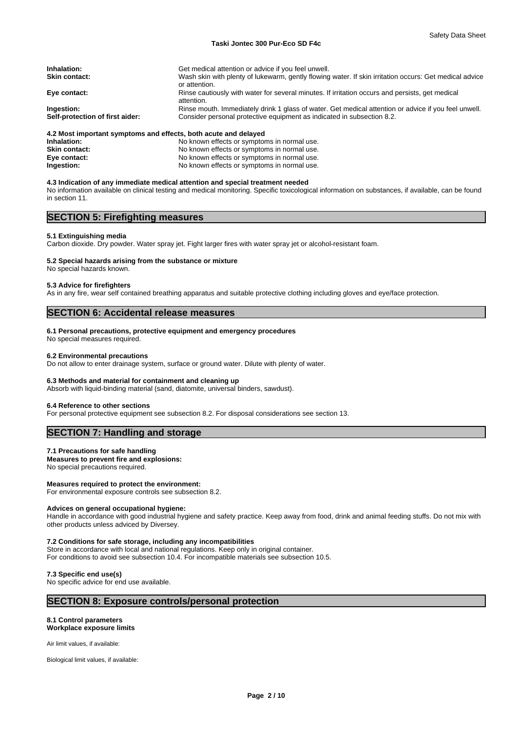| Inhalation:                     | Get medical attention or advice if you feel unwell.                                                           |
|---------------------------------|---------------------------------------------------------------------------------------------------------------|
| <b>Skin contact:</b>            | Wash skin with plenty of lukewarm, gently flowing water. If skin irritation occurs: Get medical advice        |
|                                 | or attention.                                                                                                 |
| Eye contact:                    | Rinse cautiously with water for several minutes. If irritation occurs and persists, get medical<br>attention. |
| Ingestion:                      | Rinse mouth. Immediately drink 1 glass of water. Get medical attention or advice if you feel unwell.          |
| Self-protection of first aider: | Consider personal protective equipment as indicated in subsection 8.2.                                        |
|                                 |                                                                                                               |
|                                 | A.O. Mast because the characteristic starts and affects. In this words were the final of the                  |

#### **4.2 Most important symptoms and effects, both acute and delayed**

| Inhalation:          | No known effects or symptoms in normal use. |
|----------------------|---------------------------------------------|
| <b>Skin contact:</b> | No known effects or symptoms in normal use. |
| Eye contact:         | No known effects or symptoms in normal use. |
| Ingestion:           | No known effects or symptoms in normal use. |
|                      |                                             |

#### **4.3 Indication of any immediate medical attention and special treatment needed**

No information available on clinical testing and medical monitoring. Specific toxicological information on substances, if available, can be found in section 11.

# **SECTION 5: Firefighting measures**

#### **5.1 Extinguishing media**

Carbon dioxide. Dry powder. Water spray jet. Fight larger fires with water spray jet or alcohol-resistant foam.

#### **5.2 Special hazards arising from the substance or mixture**

No special hazards known.

#### **5.3 Advice for firefighters**

As in any fire, wear self contained breathing apparatus and suitable protective clothing including gloves and eye/face protection.

### **SECTION 6: Accidental release measures**

#### **6.1 Personal precautions, protective equipment and emergency procedures**

No special measures required.

#### **6.2 Environmental precautions**

Do not allow to enter drainage system, surface or ground water. Dilute with plenty of water.

#### **6.3 Methods and material for containment and cleaning up**

Absorb with liquid-binding material (sand, diatomite, universal binders, sawdust).

#### **6.4 Reference to other sections**

For personal protective equipment see subsection 8.2. For disposal considerations see section 13.

# **SECTION 7: Handling and storage**

#### **7.1 Precautions for safe handling**

#### **Measures to prevent fire and explosions:**

No special precautions required.

#### **Measures required to protect the environment:**

For environmental exposure controls see subsection 8.2.

#### **Advices on general occupational hygiene:**

Handle in accordance with good industrial hygiene and safety practice. Keep away from food, drink and animal feeding stuffs. Do not mix with other products unless adviced by Diversey.

# **7.2 Conditions for safe storage, including any incompatibilities**

Store in accordance with local and national regulations. Keep only in original container. For conditions to avoid see subsection 10.4. For incompatible materials see subsection 10.5.

#### **7.3 Specific end use(s)**

No specific advice for end use available.

### **SECTION 8: Exposure controls/personal protection**

#### **8.1 Control parameters Workplace exposure limits**

Air limit values, if available:

Biological limit values, if available: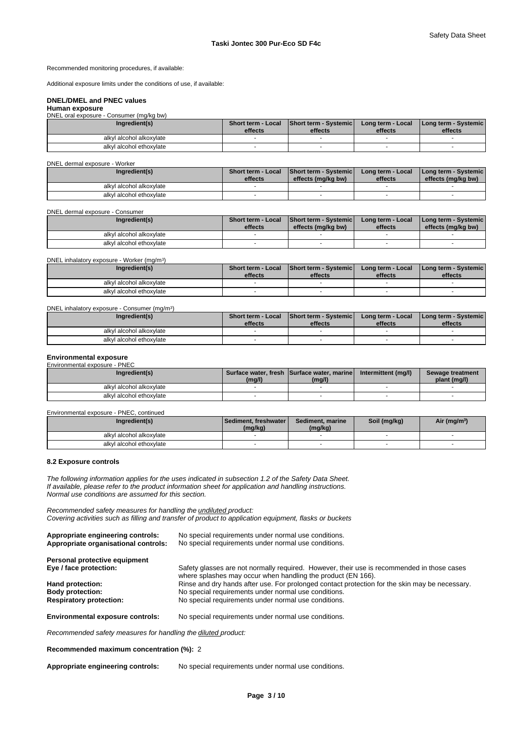Recommended monitoring procedures, if available:

Additional exposure limits under the conditions of use, if available:

#### **DNEL/DMEL and PNEC values Human exposure**

#### DNEL oral exposure - Consumer (mg/kg bw)

| Ingredient(s)            | Short term - Local<br>effects | <b>Short term - Systemic</b><br>effects | Long term - Local<br>effects | <b>I Long term - Systemic I</b><br>effects |
|--------------------------|-------------------------------|-----------------------------------------|------------------------------|--------------------------------------------|
| alkyl alcohol alkoxylate |                               |                                         |                              |                                            |
| alkyl alcohol ethoxylate |                               |                                         |                              |                                            |

#### DNEL dermal exposure - Worker

| Ingredient(s)            | <b>Short term - Local</b><br>effects | <b>Short term - Systemic</b><br>effects (mg/kg bw) | Long term - Local<br>effects | I Long term - Systemic I<br>effects (mg/kg bw) |
|--------------------------|--------------------------------------|----------------------------------------------------|------------------------------|------------------------------------------------|
| alkyl alcohol alkoxylate |                                      |                                                    |                              |                                                |
| alkyl alcohol ethoxylate |                                      |                                                    |                              |                                                |

#### DNEL dermal exposure - Consumer

| <b>Short term - Local</b><br>effects | effects (mg/kg bw) | Long term - Local<br>effects | effects (mg/kg bw)           |                          |
|--------------------------------------|--------------------|------------------------------|------------------------------|--------------------------|
|                                      |                    |                              |                              |                          |
|                                      |                    |                              |                              |                          |
|                                      |                    |                              | <b>Short term - Systemic</b> | I Long term - Systemic I |

#### DNEL inhalatory exposure - Worker (mg/m<sup>3</sup>

| Ingredient(s)            | <b>Short term - Local</b><br>effects | <b>Short term - Systemic</b><br>effects | Long term - Local<br>effects | <b>I Long term - Systemic I</b><br>effects |
|--------------------------|--------------------------------------|-----------------------------------------|------------------------------|--------------------------------------------|
| alkyl alcohol alkoxylate |                                      |                                         |                              |                                            |
| alkyl alcohol ethoxylate |                                      |                                         |                              |                                            |

#### DNEL inhalatory exposure - Consumer (mg/m<sup>3</sup>)

| Ingredient(s)            | <b>Short term - Local</b><br>effects | <b>Short term - Systemic</b><br>effects | Long term - Local<br>effects | l Long term - Svstemic l<br>effects |
|--------------------------|--------------------------------------|-----------------------------------------|------------------------------|-------------------------------------|
| alkyl alcohol alkoxylate |                                      |                                         |                              |                                     |
| alkyl alcohol ethoxylate |                                      |                                         |                              |                                     |

#### **Environmental exposure**

| Environmental exposure - PNEC |        |                                                      |                     |                                  |
|-------------------------------|--------|------------------------------------------------------|---------------------|----------------------------------|
| Ingredient(s)                 | (mq/l) | Surface water, fresh Surface water, marine<br>(mg/l) | Intermittent (ma/l) | Sewage treatment<br>plant (mg/l) |
| alkyl alcohol alkoxylate      |        |                                                      |                     |                                  |
| alkyl alcohol ethoxylate      |        |                                                      |                     |                                  |

#### Environmental exposure - PNEC, continued

| Ingredient(s)            | l Sediment. freshwater l<br>(mg/kg) | Sediment, marine<br>(mg/kg) | Soil (mg/kg) | Air (mg/m <sup>3</sup> ) |
|--------------------------|-------------------------------------|-----------------------------|--------------|--------------------------|
| alkyl alcohol alkoxylate |                                     |                             |              |                          |
| alkyl alcohol ethoxylate |                                     |                             |              |                          |

#### **8.2 Exposure controls**

*The following information applies for the uses indicated in subsection 1.2 of the Safety Data Sheet. If available, please refer to the product information sheet for application and handling instructions. Normal use conditions are assumed for this section.*

)

 $)$ 

*Recommended safety measures for handling the undiluted product: Covering activities such as filling and transfer of product to application equipment, flasks or buckets*

| Appropriate engineering controls:<br>Appropriate organisational controls: | No special requirements under normal use conditions.<br>No special requirements under normal use conditions.                                               |
|---------------------------------------------------------------------------|------------------------------------------------------------------------------------------------------------------------------------------------------------|
| Personal protective equipment                                             |                                                                                                                                                            |
| Eye / face protection:                                                    | Safety glasses are not normally required. However, their use is recommended in those cases<br>where splashes may occur when handling the product (EN 166). |
| Hand protection:                                                          | Rinse and dry hands after use. For prolonged contact protection for the skin may be necessary.                                                             |
| <b>Body protection:</b>                                                   | No special requirements under normal use conditions.                                                                                                       |
| <b>Respiratory protection:</b>                                            | No special requirements under normal use conditions.                                                                                                       |
| <b>Environmental exposure controls:</b>                                   | No special requirements under normal use conditions.                                                                                                       |

*Recommended safety measures for handling the diluted product:*

### **Recommended maximum concentration (%):** 2

Appropriate engineering controls: No special requirements under normal use conditions.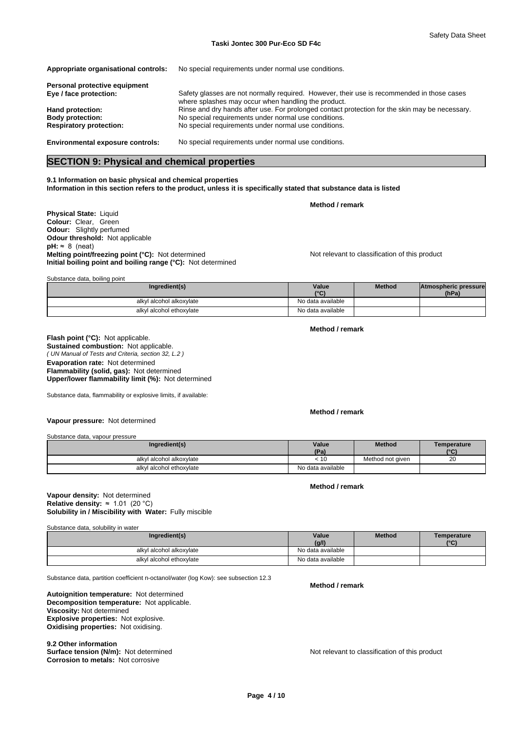| Appropriate organisational controls:    | No special requirements under normal use conditions.                                                                                              |
|-----------------------------------------|---------------------------------------------------------------------------------------------------------------------------------------------------|
| Personal protective equipment           |                                                                                                                                                   |
| Eye / face protection:                  | Safety glasses are not normally required. However, their use is recommended in those cases<br>where splashes may occur when handling the product. |
| Hand protection:                        | Rinse and dry hands after use. For prolonged contact protection for the skin may be necessary.                                                    |
| <b>Body protection:</b>                 | No special requirements under normal use conditions.                                                                                              |
| <b>Respiratory protection:</b>          | No special requirements under normal use conditions.                                                                                              |
| <b>Environmental exposure controls:</b> | No special requirements under normal use conditions.                                                                                              |

# **SECTION 9: Physical and chemical properties**

**9.1 Information on basic physical and chemical properties Information in this section refers to the product, unless it is specifically stated that substance data is listed**

**Physical State:** Liquid **Colour:** Clear, Green **Odour:** Slightly perfumed **Odour threshold:** Not applicable  $pH: ~ 8$  (neat) **Melting point/freezing point (°C):** Not determined Not relevant to classification of this product **Initial boiling point and boiling range (°C):** Not determined

Substance data, boiling point

| Ingredient(s)            | Value             | <b>Method</b> | Atmospheric pressure |  |
|--------------------------|-------------------|---------------|----------------------|--|
|                          | $\sim$            |               | (hPa)                |  |
| alkyl alcohol alkoxylate | No data available |               |                      |  |
| alkyl alcohol ethoxylate | No data available |               |                      |  |

**Method / remark**

**Method / remark**

*( UN Manual of Tests and Criteria, section 32, L.2 )* **Flash point (°C):** Not applicable. **Sustained combustion:** Not applicable. **Evaporation rate:** Not determined **Flammability (solid, gas):** Not determined **Upper/lower flammability limit (%):** Not determined

Substance data, flammability or explosive limits, if available:

**Method / remark**

**Vapour pressure:** Not determined

Substance data, vapour pressure

| Substance data, vapour pressure |                   |                  |                  |
|---------------------------------|-------------------|------------------|------------------|
| Ingredient(s)                   | Value<br>(Pa)     | <b>Method</b>    | Temperature<br>C |
| alkyl alcohol alkoxylate        | ະ 10              | Method not given | ററ<br>zu         |
| alkyl alcohol ethoxylate        | No data available |                  |                  |

#### **Method / remark**

#### **Solubility in / Miscibility with Water:** Fully miscible **Vapour density:** Not determined **Relative density:** ≈1.01(20°C)

Substance data, solubility in water

| Ingredient(s)            | Value             | <b>Method</b> | Temperature<br>$10^{\circ}$ |
|--------------------------|-------------------|---------------|-----------------------------|
|                          | (g/l)             |               |                             |
| alkyl alcohol alkoxylate | No data available |               |                             |
| alkyl alcohol ethoxylate | No data available |               |                             |

Substance data, partition coefficient n-octanol/water (log Kow): see subsection 12.3

**Decomposition temperature:** Not applicable. **Autoignition temperature:** Not determined **Viscosity:** Not determined **Explosive properties:** Not explosive. **Oxidising properties:** Not oxidising.

**9.2 Other information<br>Surface tension (N/m):** Not determined **Corrosion to metals:** Not corrosive

**Method / remark**

Not relevant to classification of this product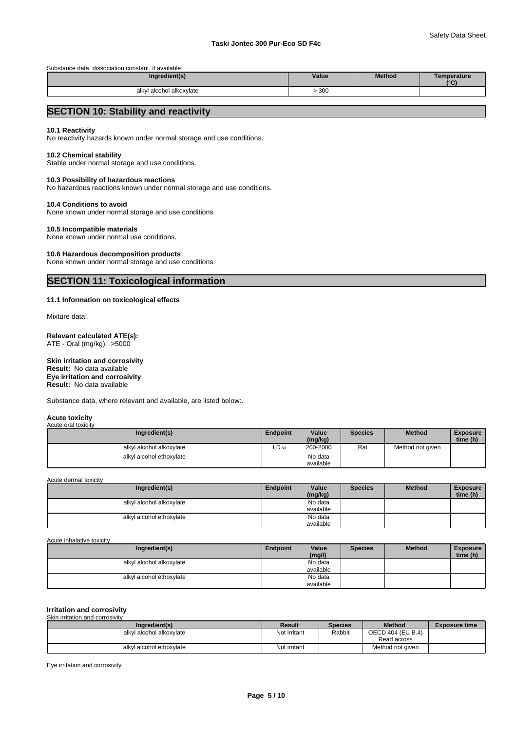Substance data, dissociation constant, if available:

| Ingredient(s)                | Value | <b>Method</b> | Temperature<br>10P |
|------------------------------|-------|---------------|--------------------|
| alky<br>l alcohol alkoxylate | 300   |               |                    |

# **SECTION 10: Stability and reactivity**

#### **10.1 Reactivity**

No reactivity hazards known under normal storage and use conditions.

#### **10.2 Chemical stability**

Stable under normal storage and use conditions.

#### **10.3 Possibility of hazardous reactions**

No hazardous reactions known under normal storage and use conditions.

#### **10.4 Conditions to avoid**

None known under normal storage and use conditions.

#### **10.5 Incompatible materials**

None known under normal use conditions.

# **10.6 Hazardous decomposition products**

None known under normal storage and use conditions.

# **SECTION 11: Toxicological information**

#### **11.1 Information on toxicological effects**

Mixture data:.

#### **Relevant calculated ATE(s):** ATE - Oral (mg/kg): >5000

**Skin irritation and corrosivity Eye irritation and corrosivity Result:** No data available **Result:** No data available

Substance data, where relevant and available, are listed below:.

#### **Acute toxicity**

| Acute oral toxicity      |                 |                      |                |                  |                             |
|--------------------------|-----------------|----------------------|----------------|------------------|-----------------------------|
| Ingredient(s)            | <b>Endpoint</b> | Value<br>(mq/kg)     | <b>Species</b> | <b>Method</b>    | <b>Exposure</b><br>time (h) |
| alkyl alcohol alkoxylate | $LD_{50}$       | 200-2000             | Rat            | Method not given |                             |
| alkyl alcohol ethoxylate |                 | No data<br>available |                |                  |                             |

Acute dermal toxicity

| Ingredient(s)            | Endpoint | Value<br>(mg/kg)     | <b>Species</b> | <b>Method</b> | <b>Exposure</b><br>time (h) |  |
|--------------------------|----------|----------------------|----------------|---------------|-----------------------------|--|
| alkyl alcohol alkoxylate |          | No data<br>available |                |               |                             |  |
| alkyl alcohol ethoxylate |          | No data<br>available |                |               |                             |  |

#### Acute inhalative toxicity

| Ingredient(s)            | Endpoint | Value<br>(mg/l)      | <b>Species</b> | <b>Method</b> | <b>Exposure</b><br>time (h) |  |
|--------------------------|----------|----------------------|----------------|---------------|-----------------------------|--|
| alkyl alcohol alkoxylate |          | No data<br>available |                |               |                             |  |
|                          |          |                      |                |               |                             |  |
| alkyl alcohol ethoxylate |          | No data              |                |               |                             |  |
|                          |          | available            |                |               |                             |  |

#### **Irritation and corrosivity** Skin irritation and corrosivity

| Ingredient(s)            | Result       | <b>Species</b> | <b>Method</b>     | <b>Exposure time</b> |
|--------------------------|--------------|----------------|-------------------|----------------------|
| alkyl alcohol alkoxylate | Not irritant | Rabbit         | OECD 404 (EU B.4) |                      |
|                          |              |                | Read across       |                      |
| alkyl alcohol ethoxylate | Not irritant |                | Method not given  |                      |

Eye irritation and corrosivity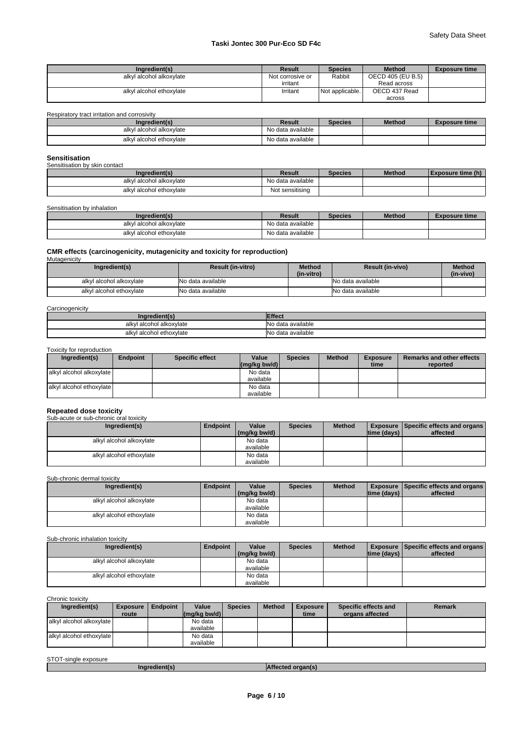| Ingredient(s)            | Result           | <b>Species</b>  | <b>Method</b>     | <b>Exposure time</b> |
|--------------------------|------------------|-----------------|-------------------|----------------------|
| alkyl alcohol alkoxylate | Not corrosive or | Rabbit          | OECD 405 (EU B.5) |                      |
|                          | irritant         |                 | Read across       |                      |
| alkyl alcohol ethoxylate | Irritant         | Not applicable. | OECD 437 Read     |                      |
|                          |                  |                 | across            |                      |

Respiratory tract irritation and corrosivity

| Ingredient(s)            | Result            | <b>Species</b> | <b>Method</b> | <b>Exposure time</b> |
|--------------------------|-------------------|----------------|---------------|----------------------|
| alkyl alcohol alkoxylate | No data available |                |               |                      |
| alkyl alcohol ethoxylate | No data available |                |               |                      |

# **Sensitisation** Sensitisation by skin contact

| <b>OUTIONIOUTOFF</b> DIMENSION |                   |                |               |                   |  |  |
|--------------------------------|-------------------|----------------|---------------|-------------------|--|--|
| Ingredient(s)                  | Result            | <b>Species</b> | <b>Method</b> | Exposure time (h) |  |  |
| alkyl alcohol alkoxylate       | No data available |                |               |                   |  |  |
| alkyl alcohol ethoxylate       | Not sensitising   |                |               |                   |  |  |

Sensitisation by inhalation

| Ingredient(s)            | Result            | <b>Species</b> | <b>Method</b> | <b>Exposure time</b> |
|--------------------------|-------------------|----------------|---------------|----------------------|
| alkyl alcohol alkoxylate | No data available |                |               |                      |
| alkyl alcohol ethoxylate | No data available |                |               |                      |

# **CMR effects (carcinogenicity, mutagenicity and toxicity for reproduction)** Mutagenicity

| Ingredient(s)            | <b>Result (in-vitro)</b> | <b>Method</b><br>(in-vitro) | <b>Result (in-vivo)</b> | <b>Method</b><br>(in-vivo) |
|--------------------------|--------------------------|-----------------------------|-------------------------|----------------------------|
| alkyl alcohol alkoxylate | INo data available       |                             | No data available       |                            |
| alkyl alcohol ethoxylate | <b>No data available</b> |                             | No data available       |                            |

**Carcinogenicity** 

| angrediently         | <b>ffect</b>     |
|----------------------|------------------|
| l alcohol alkoxvlate | data available › |
| alkvl                | NI∩              |
| l alcohol ethoxylate | data available י |
| alkyl                | .No              |

#### Toxicity for reproduction

| Ingredient(s)                | <b>Endpoint</b> | <b>Specific effect</b> | Value<br>$\left \frac{\text{mg}}{\text{kg}}\right $ bw/d) | <b>Species</b> | <b>Method</b> | <b>Exposure</b><br>time | <b>Remarks and other effects</b><br>reported |
|------------------------------|-----------------|------------------------|-----------------------------------------------------------|----------------|---------------|-------------------------|----------------------------------------------|
|                              |                 |                        |                                                           |                |               |                         |                                              |
| l alkvl alcohol alkoxvlate l |                 |                        | No data                                                   |                |               |                         |                                              |
|                              |                 |                        | available                                                 |                |               |                         |                                              |
| lalkyl alcohol ethoxylate    |                 |                        | No data                                                   |                |               |                         |                                              |
|                              |                 |                        | available                                                 |                |               |                         |                                              |

#### **Repeated dose toxicity**

Sub-acute or sub-chronic oral toxicity

| Ingredient(s)            | <b>Endpoint</b> | Value        | <b>Species</b> | <b>Method</b> |             | <b>Exposure Specific effects and organs</b> |
|--------------------------|-----------------|--------------|----------------|---------------|-------------|---------------------------------------------|
|                          |                 | (mg/kg bw/d) |                |               | time (days) | affected                                    |
| alkyl alcohol alkoxylate |                 | No data      |                |               |             |                                             |
|                          |                 | available    |                |               |             |                                             |
| alkyl alcohol ethoxylate |                 | No data      |                |               |             |                                             |
|                          |                 | available    |                |               |             |                                             |

Sub-chronic dermal toxicity

| Ingredient(s)            | <b>Endpoint</b> | Value        | <b>Species</b> | <b>Method</b> |                    | <b>Exposure   Specific effects and organs  </b> |
|--------------------------|-----------------|--------------|----------------|---------------|--------------------|-------------------------------------------------|
|                          |                 | (mg/kg bw/d) |                |               | $ time$ (days) $ $ | affected                                        |
| alkyl alcohol alkoxylate |                 | No data      |                |               |                    |                                                 |
|                          |                 | available    |                |               |                    |                                                 |
| alkyl alcohol ethoxylate |                 | No data      |                |               |                    |                                                 |
|                          |                 | available    |                |               |                    |                                                 |

### Sub-chronic inhalation toxicity

| Ingredient(s)            | <b>Endpoint</b> | Value        | <b>Species</b> | <b>Method</b> |                | <b>Exposure Specific effects and organs</b> |
|--------------------------|-----------------|--------------|----------------|---------------|----------------|---------------------------------------------|
|                          |                 | (mg/kg bw/d) |                |               | Itime (davs) I | affected                                    |
| alkyl alcohol alkoxylate |                 | No data      |                |               |                |                                             |
|                          |                 | available    |                |               |                |                                             |
| alkyl alcohol ethoxylate |                 | No data      |                |               |                |                                             |
|                          |                 | available    |                |               |                |                                             |

Chronic toxicity

| Ingredient(s)            | <b>Exposure</b> | <b>Endpoint</b> | Value                | <b>Species</b> | <b>Method</b> | <b>Exposure</b> | Specific effects and | <b>Remark</b> |
|--------------------------|-----------------|-----------------|----------------------|----------------|---------------|-----------------|----------------------|---------------|
|                          | route           |                 | (ma/ka bw/d)         |                |               | time            | organs affected      |               |
| alkyl alcohol alkoxylate |                 |                 | No data<br>available |                |               |                 |                      |               |
| alkyl alcohol ethoxylate |                 |                 | No data<br>available |                |               |                 |                      |               |

| STO <sup>-</sup><br>exposure<br>-single |  |
|-----------------------------------------|--|
|                                         |  |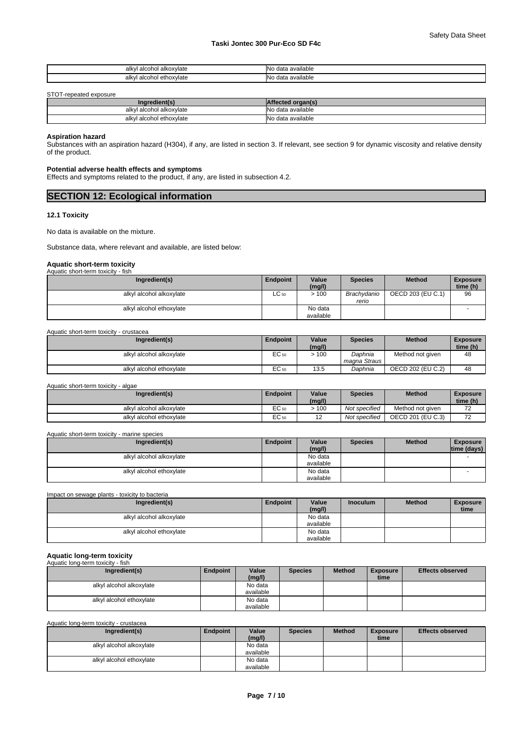| alkoxvlate<br>alkvl<br>------<br>aiuu<br>. | available<br>NI.<br>data<br>w               |
|--------------------------------------------|---------------------------------------------|
| , alcohol<br>ethoxvlate<br>alk\            | $\cdots$<br>available<br>NI.<br>data<br>่งเ |

STOT-repeated exposure

| Ingredient(s)                 | .                |
|-------------------------------|------------------|
| i alcohol alkoxvlate<br>alkyl | o data available |
| I alcohol ethoxvlate<br>alkvl | › data available |

#### **Aspiration hazard**

Substances with an aspiration hazard (H304), if any, are listed in section 3. If relevant, see section 9 for dynamic viscosity and relative density of the product.

### **Potential adverse health effects and symptoms**

Effects and symptoms related to the product, if any, are listed in subsection 4.2.

| <b>SECTION 12: Ecological information</b> |  |
|-------------------------------------------|--|
|                                           |  |

### **12.1 Toxicity**

No data is available on the mixture.

Substance data, where relevant and available, are listed below:

#### **Aquatic short-term toxicity** Aquatic short-term toxicity - fish

| .                        |                 |                      |                      |                   |                             |
|--------------------------|-----------------|----------------------|----------------------|-------------------|-----------------------------|
| Ingredient(s)            | <b>Endpoint</b> | Value<br>(mg/l)      | <b>Species</b>       | <b>Method</b>     | <b>Exposure</b><br>time (h) |
| alkyl alcohol alkoxylate | $LC_{50}$       | >100                 | Brachvdanio<br>rerio | OECD 203 (EU C.1) | 96                          |
| alkyl alcohol ethoxylate |                 | No data<br>available |                      |                   |                             |

Aquatic short-term toxicity - crustacea

| Ingredient(s)            | <b>Endpoint</b>  | Value<br>(mg/l) | Species      | <b>Method</b>     | <b>Exposure</b><br>time (h) |  |
|--------------------------|------------------|-----------------|--------------|-------------------|-----------------------------|--|
| alkyl alcohol alkoxylate | EC <sub>50</sub> | 100             | Daphnia      | Method not given  | 48                          |  |
|                          |                  |                 | magna Straus |                   |                             |  |
| alkyl alcohol ethoxylate | EC <sub>50</sub> | 13.5            | Daphnia      | OECD 202 (EU C.2) | 48                          |  |

Aquatic short-term toxicity - algae

| Ingredient(s)            | <b>Endpoint</b>  | Value<br>(mg/l) | Species       | <b>Method</b>     | <b>Exposure</b><br>time (h)          |  |
|--------------------------|------------------|-----------------|---------------|-------------------|--------------------------------------|--|
| alkyl alcohol alkoxylate | EC 50            | 100             | Not specified | Method not given  | $\overline{\phantom{a}}$<br>∼        |  |
| alkyl alcohol ethoxylate | EC <sub>50</sub> |                 | Not specified | OECD 201 (EU C.3) | $\overline{\phantom{a}}$<br><u>_</u> |  |

#### Aquatic short-term toxicity - marine species

| Ingredient(s)            | <b>Endpoint</b> | Value     | <b>Species</b> | <b>Method</b> | <b>Exposure</b> |
|--------------------------|-----------------|-----------|----------------|---------------|-----------------|
|                          |                 | (mg/l)    |                |               | time (days)     |
| alkyl alcohol alkoxylate |                 | No data   |                |               |                 |
|                          |                 | available |                |               |                 |
| alkyl alcohol ethoxylate |                 | No data   |                |               |                 |
|                          |                 | available |                |               |                 |

Impact on sewage plants - toxicity to bacteria **Ingredient(s) Industrial Leading Leading Control Leading Control Leading Control Leading Control Leading Control Leading Control Leading Control Leading Control Leading Control Leading Control Leading Control Leading Co (mg/l) Industrial Method Exposure time**  alkyl alcohol alkoxylate available alkyl alcohol ethoxylate No data available

# **Aquatic long-term toxicity**

| Aquatic long-term toxicity - fish |          |           |                |               |                 |                         |
|-----------------------------------|----------|-----------|----------------|---------------|-----------------|-------------------------|
| Ingredient(s)                     | Endpoint | Value     | <b>Species</b> | <b>Method</b> | <b>Exposure</b> | <b>Effects observed</b> |
|                                   |          | (mg/l)    |                |               | time            |                         |
| alkyl alcohol alkoxylate          |          | No data   |                |               |                 |                         |
|                                   |          | available |                |               |                 |                         |
| alkyl alcohol ethoxylate          |          | No data   |                |               |                 |                         |
|                                   |          | available |                |               |                 |                         |

Aquatic long-term toxicity - crustacea

| Ingredient(s)            | Endpoint | Value<br>(mg/l) | <b>Species</b> | <b>Method</b> | <b>Exposure</b><br>time | <b>Effects observed</b> |
|--------------------------|----------|-----------------|----------------|---------------|-------------------------|-------------------------|
| alkyl alcohol alkoxylate |          | No data         |                |               |                         |                         |
|                          |          | available       |                |               |                         |                         |
| alkyl alcohol ethoxylate |          | No data         |                |               |                         |                         |
|                          |          | available       |                |               |                         |                         |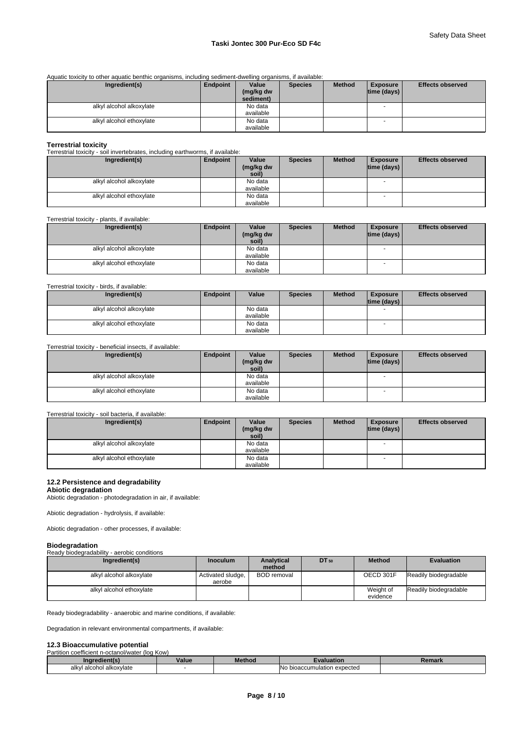Aquatic toxicity to other aquatic benthic organisms, including sediment-dwelling organisms, if available:

| Ingredient(s)            | Endpoint | Value<br>(mg/kg dw | <b>Species</b> | <b>Method</b> | <b>Exposure</b><br> time (days) | <b>Effects observed</b> |
|--------------------------|----------|--------------------|----------------|---------------|---------------------------------|-------------------------|
|                          |          | sediment)          |                |               |                                 |                         |
| alkyl alcohol alkoxylate |          | No data            |                |               | -                               |                         |
|                          |          | available          |                |               |                                 |                         |
| alkyl alcohol ethoxylate |          | No data            |                |               |                                 |                         |
|                          |          | available          |                |               |                                 |                         |

**Terrestrial toxicity** Terrestrial toxicity - soil invertebrates, including earthworms, if available:

| Ingredient(s)            | <b>Endpoint</b> | Value              | <b>Species</b> | <b>Method</b> | <b>Exposure</b>    | <b>Effects observed</b> |
|--------------------------|-----------------|--------------------|----------------|---------------|--------------------|-------------------------|
|                          |                 | (mg/kg dw<br>soil) |                |               | $ time$ (days) $ $ |                         |
|                          |                 |                    |                |               |                    |                         |
| alkyl alcohol alkoxylate |                 | No data            |                |               |                    |                         |
|                          |                 | available          |                |               |                    |                         |
| alkyl alcohol ethoxylate |                 | No data            |                |               | - 11               |                         |
|                          |                 | available          |                |               |                    |                         |

Terrestrial toxicity - plants, if available:

| Ingredient(s)            | Endpoint | Value     | <b>Species</b> | <b>Method</b> | <b>Exposure</b>          | <b>Effects observed</b> |
|--------------------------|----------|-----------|----------------|---------------|--------------------------|-------------------------|
|                          |          | (mg/kg dw |                |               | $ time$ (days) $ $       |                         |
|                          |          | soil)     |                |               |                          |                         |
| alkyl alcohol alkoxylate |          | No data   |                |               |                          |                         |
|                          |          | available |                |               |                          |                         |
| alkyl alcohol ethoxylate |          | No data   |                |               | $\overline{\phantom{a}}$ |                         |
|                          |          | available |                |               |                          |                         |

Terrestrial toxicity - birds, if available:

| Ingredient(s)            | Endpoint | Value     | <b>Species</b> | <b>Method</b> | <b>Exposure</b>    | <b>Effects observed</b> |
|--------------------------|----------|-----------|----------------|---------------|--------------------|-------------------------|
|                          |          |           |                |               | $ time$ (days) $ $ |                         |
| alkyl alcohol alkoxylate |          | No data   |                |               |                    |                         |
|                          |          | available |                |               |                    |                         |
| alkyl alcohol ethoxylate |          | No data   |                |               |                    |                         |
|                          |          | available |                |               |                    |                         |

Terrestrial toxicity - beneficial insects, if available:

| Ingredient(s)            | Endpoint | Value     | <b>Species</b> | <b>Method</b> | <b>Exposure</b>          | <b>Effects observed</b> |
|--------------------------|----------|-----------|----------------|---------------|--------------------------|-------------------------|
|                          |          | (mg/kg dw |                |               | time (days)              |                         |
|                          |          | soil)     |                |               |                          |                         |
| alkyl alcohol alkoxylate |          | No data   |                |               | $\overline{\phantom{a}}$ |                         |
|                          |          | available |                |               |                          |                         |
| alkyl alcohol ethoxylate |          | No data   |                |               | $\overline{\phantom{a}}$ |                         |
|                          |          | available |                |               |                          |                         |

#### Terrestrial toxicity - soil bacteria, if available:

| Ingredient(s)            | Endpoint | Value              | <b>Species</b> | <b>Method</b> | <b>Exposure</b> | <b>Effects observed</b> |
|--------------------------|----------|--------------------|----------------|---------------|-----------------|-------------------------|
|                          |          | (mg/kg dw<br>soil) |                |               | time (days)     |                         |
|                          |          |                    |                |               |                 |                         |
| alkyl alcohol alkoxylate |          | No data            |                |               |                 |                         |
|                          |          | available          |                |               |                 |                         |
| alkyl alcohol ethoxylate |          | No data            |                |               |                 |                         |
|                          |          | available          |                |               |                 |                         |

#### **12.2 Persistence and degradability**

**Abiotic degradation** Abiotic degradation - photodegradation in air, if available:

Abiotic degradation - hydrolysis, if available:

Abiotic degradation - other processes, if available:

#### **Biodegradation**

Ready biodegradability - aerobic conditions

| Ingredient(s)            | <b>Inoculum</b>             | <b>Analytical</b><br>method | DT 50 | <b>Method</b>         | <b>Evaluation</b>     |
|--------------------------|-----------------------------|-----------------------------|-------|-----------------------|-----------------------|
| alkyl alcohol alkoxylate | Activated sludge,<br>aerobe | <b>BOD</b> removal          |       | OECD 301F             | Readily biodegradable |
| alkyl alcohol ethoxylate |                             |                             |       | Weight of<br>evidence | Readily biodegradable |

Ready biodegradability - anaerobic and marine conditions, if available:

Degradation in relevant environmental compartments, if available:

# **12.3 Bioaccumulative potential**<br>Partition coefficient p-octanol/water (log Kow)

| <br>Partition<br>i coefficient n-octanol/water (log Kow) |       |               |                                 |        |  |
|----------------------------------------------------------|-------|---------------|---------------------------------|--------|--|
| <b>redient(s</b><br>.na                                  | Value | <b>Method</b> | raluation                       | semark |  |
| alkvl<br>l alcohol alkoxvlate                            |       |               | lNo<br>bioaccumulation expected |        |  |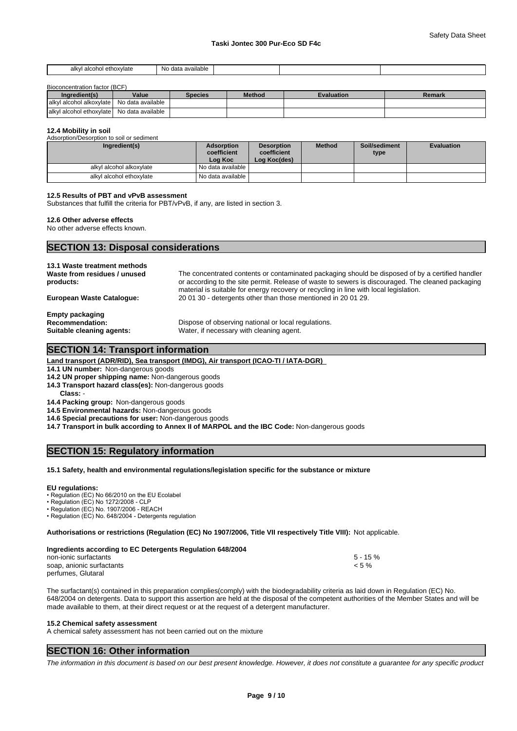| ol ethoxvlate<br>alkvl<br>alcohol | $\cdots$<br>- Ne<br>available<br>ı dat: |  |  |
|-----------------------------------|-----------------------------------------|--|--|

#### Bioconcentration factor (BCF)

| Ingredient(s)                   | Value             | Species | <b>Method</b> | Evaluation | Remark |
|---------------------------------|-------------------|---------|---------------|------------|--------|
| alkyl<br>l alcohol alkoxvlate l | No data available |         |               |            |        |
| lalkyl alcohol ethoxylate       | No data available |         |               |            |        |

#### **12.4 Mobility in soil**

| Adsorption/Desorption to soil or sediment |                                             |                                                  |               |                       |                   |
|-------------------------------------------|---------------------------------------------|--------------------------------------------------|---------------|-----------------------|-------------------|
| Ingredient(s)                             | <b>Adsorption</b><br>coefficient<br>Log Koc | <b>Desorption</b><br>coefficient<br>Log Koc(des) | <b>Method</b> | Soil/sediment<br>type | <b>Evaluation</b> |
| alkyl alcohol alkoxylate                  | I No data available I                       |                                                  |               |                       |                   |
| alkyl alcohol ethoxylate                  | No data available I                         |                                                  |               |                       |                   |

#### **12.5 Results of PBT and vPvB assessment**

Substances that fulfill the criteria for PBT/vPvB, if any, are listed in section 3.

#### **12.6 Other adverse effects**

No other adverse effects known.

# **SECTION 13: Disposal considerations**

| 13.1 Waste treatment methods<br>Waste from residues / unused<br>products: | The concentrated contents or contaminated packaging should be disposed of by a certified handler<br>or according to the site permit. Release of waste to sewers is discouraged. The cleaned packaging |
|---------------------------------------------------------------------------|-------------------------------------------------------------------------------------------------------------------------------------------------------------------------------------------------------|
| <b>European Waste Cataloque:</b>                                          | material is suitable for energy recovery or recycling in line with local legislation.<br>20 01 30 - detergents other than those mentioned in 20 01 29.                                                |
| <b>Empty packaging</b>                                                    |                                                                                                                                                                                                       |
| <b>Recommendation:</b>                                                    | Dispose of observing national or local regulations.                                                                                                                                                   |
| Suitable cleaning agents:                                                 | Water, if necessary with cleaning agent.                                                                                                                                                              |

#### **SECTION 14: Transport information**

**Land transport (ADR/RID), Sea transport (IMDG), Air transport (ICAO-TI / IATA-DGR)** 

**14.1 UN number:** Non-dangerous goods

**14.2 UN proper shipping name:** Non-dangerous goods

**14.3 Transport hazard class(es):** Non-dangerous goods

**Class:** -

**14.4 Packing group:** Non-dangerous goods

**14.5 Environmental hazards:** Non-dangerous goods

**14.6 Special precautions for user:** Non-dangerous goods

**14.7 Transport in bulk according to Annex II of MARPOL and the IBC Code:** Non-dangerous goods

# **SECTION 15: Regulatory information**

#### **15.1 Safety, health and environmental regulations/legislation specific for the substance or mixture**

#### **EU regulations:**

• Regulation (EC) No 66/2010 on the EU Ecolabel

 $\cdot$  Regulation (EC) No 1272/2008 - CLF

• Regulation (EC) No. 1907/2006 - REACH

• Regulation (EC) No. 648/2004 - Detergents regulation

**Authorisations or restrictions (Regulation (EC) No 1907/2006, Title VII respectively Title VIII):** Not applicable.

| Ingredients according to EC Detergents Regulation 648/2004 |             |  |
|------------------------------------------------------------|-------------|--|
| non-ionic surfactants                                      | $5 - 15 \%$ |  |
| soap, anionic surfactants                                  | $< 5 \%$    |  |
| perfumes. Glutaral                                         |             |  |

The surfactant(s) contained in this preparation complies(comply) with the biodegradability criteria as laid down in Regulation (EC) No. 648/2004 on detergents. Data to support this assertion are held at the disposal of the competent authorities of the Member States and will be made available to them, at their direct request or at the request of a detergent manufacturer.

#### **15.2 Chemical safety assessment**

A chemical safety assessment has not been carried out on the mixture

# **SECTION 16: Other information**

*The information in this document is based on our best present knowledge. However, it does not constitute a guarantee for any specific product*